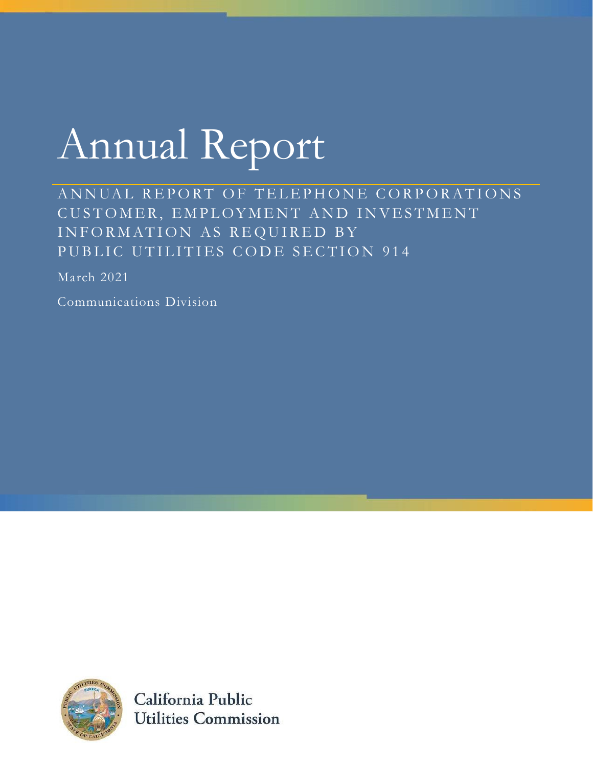# Annual Report

ANNUAL REPORT OF TELEPHONE CORPORATIONS CUSTOMER, EMPLOYMENT AND INVESTMENT INFORMATION AS REQUIRED BY PUBLIC UTILITIES CODE SECTION 914

March 2021

Communications Division



California Public **Utilities Commission**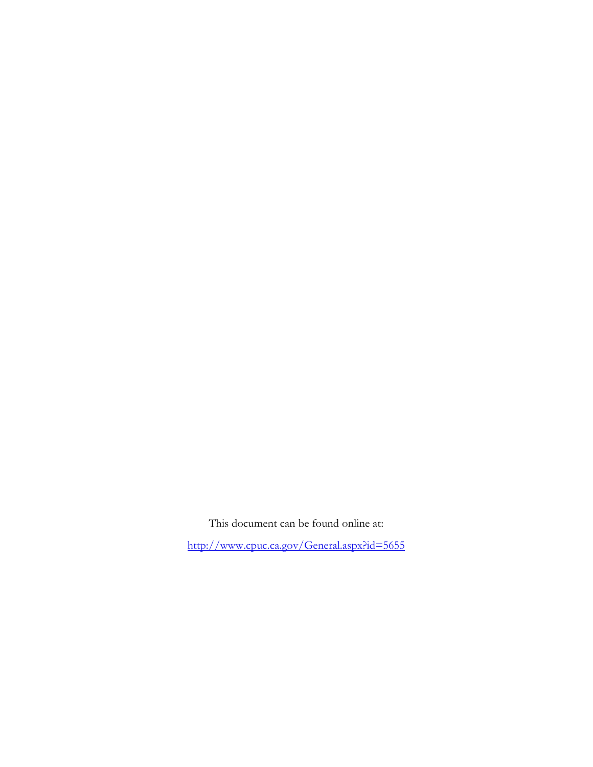This document can be found online at:

http://www.cpuc.ca.gov/General.aspx?id=5655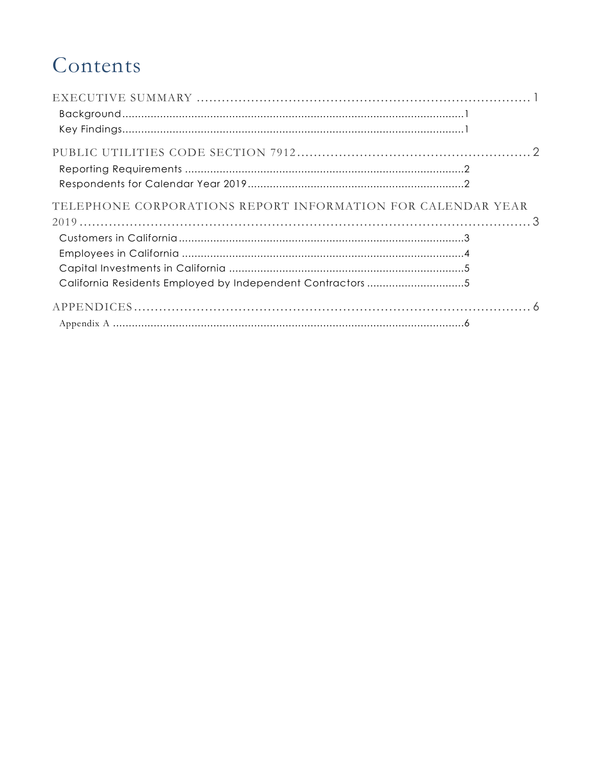# Contents

| TELEPHONE CORPORATIONS REPORT INFORMATION FOR CALENDAR YEAR |  |
|-------------------------------------------------------------|--|
|                                                             |  |
|                                                             |  |
|                                                             |  |
|                                                             |  |
|                                                             |  |
|                                                             |  |
|                                                             |  |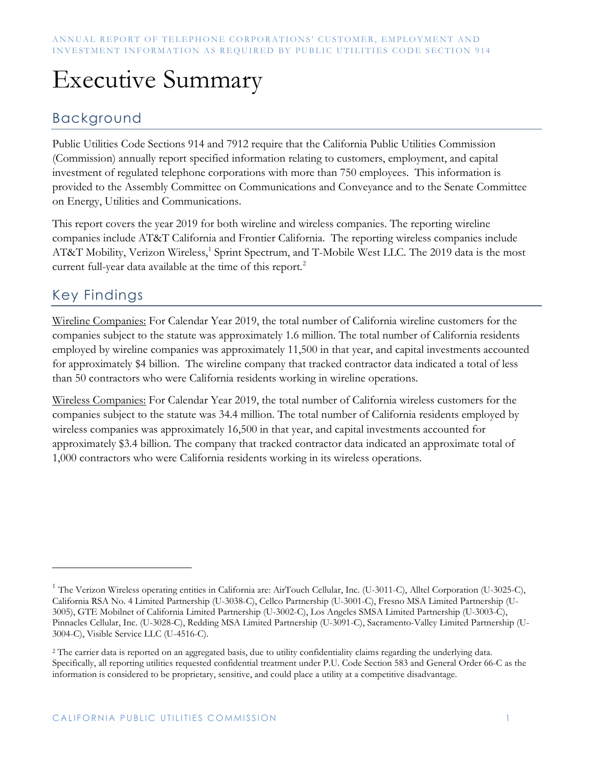# Executive Summary

### Background

Public Utilities Code Sections 914 and 7912 require that the California Public Utilities Commission (Commission) annually report specified information relating to customers, employment, and capital investment of regulated telephone corporations with more than 750 employees. This information is provided to the Assembly Committee on Communications and Conveyance and to the Senate Committee on Energy, Utilities and Communications.

This report covers the year 2019 for both wireline and wireless companies. The reporting wireline companies include AT&T California and Frontier California. The reporting wireless companies include AT&T Mobility, Verizon Wireless,<sup>1</sup> Sprint Spectrum, and T-Mobile West LLC. The 2019 data is the most current full-year data available at the time of this report.<sup>2</sup>

### Key Findings

Wireline Companies: For Calendar Year 2019, the total number of California wireline customers for the companies subject to the statute was approximately 1.6 million. The total number of California residents employed by wireline companies was approximately 11,500 in that year, and capital investments accounted for approximately \$4 billion. The wireline company that tracked contractor data indicated a total of less than 50 contractors who were California residents working in wireline operations.

Wireless Companies: For Calendar Year 2019, the total number of California wireless customers for the companies subject to the statute was 34.4 million. The total number of California residents employed by wireless companies was approximately 16,500 in that year, and capital investments accounted for approximately \$3.4 billion. The company that tracked contractor data indicated an approximate total of 1,000 contractors who were California residents working in its wireless operations.

<sup>&</sup>lt;sup>1</sup> The Verizon Wireless operating entities in California are: AirTouch Cellular, Inc. (U-3011-C), Alltel Corporation (U-3025-C), California RSA No. 4 Limited Partnership (U-3038-C), Cellco Partnership (U-3001-C), Fresno MSA Limited Partnership (U-3005), GTE Mobilnet of California Limited Partnership (U-3002-C), Los Angeles SMSA Limited Partnership (U-3003-C), Pinnacles Cellular, Inc. (U-3028-C), Redding MSA Limited Partnership (U-3091-C), Sacramento-Valley Limited Partnership (U-3004-C), Visible Service LLC (U-4516-C).

<sup>&</sup>lt;sup>2</sup> The carrier data is reported on an aggregated basis, due to utility confidentiality claims regarding the underlying data. Specifically, all reporting utilities requested confidential treatment under P.U. Code Section 583 and General Order 66-C as the information is considered to be proprietary, sensitive, and could place a utility at a competitive disadvantage.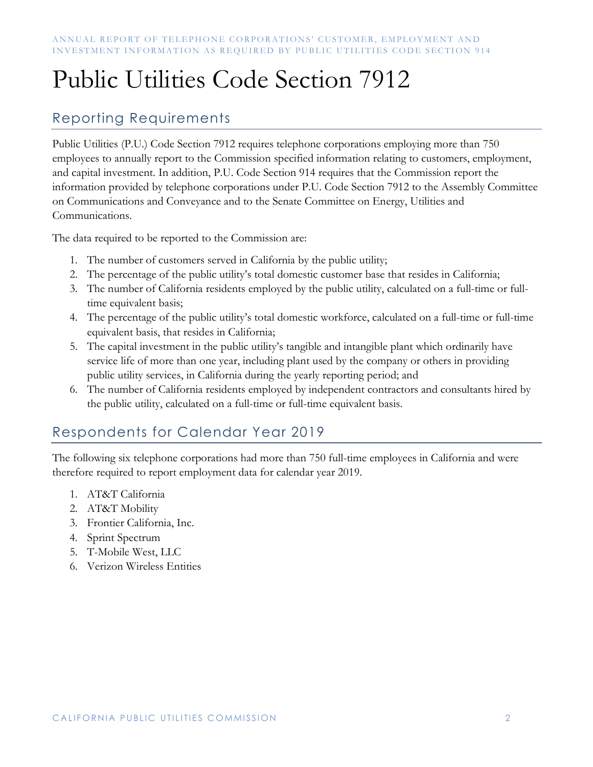# Public Utilities Code Section 7912

### Reporting Requirements

Public Utilities (P.U.) Code Section 7912 requires telephone corporations employing more than 750 employees to annually report to the Commission specified information relating to customers, employment, and capital investment. In addition, P.U. Code Section 914 requires that the Commission report the information provided by telephone corporations under P.U. Code Section 7912 to the Assembly Committee on Communications and Conveyance and to the Senate Committee on Energy, Utilities and Communications.

The data required to be reported to the Commission are:

- 1. The number of customers served in California by the public utility;
- 2. The percentage of the public utility's total domestic customer base that resides in California;
- 3. The number of California residents employed by the public utility, calculated on a full-time or fulltime equivalent basis;
- 4. The percentage of the public utility's total domestic workforce, calculated on a full-time or full-time equivalent basis, that resides in California;
- 5. The capital investment in the public utility's tangible and intangible plant which ordinarily have service life of more than one year, including plant used by the company or others in providing public utility services, in California during the yearly reporting period; and
- 6. The number of California residents employed by independent contractors and consultants hired by the public utility, calculated on a full-time or full-time equivalent basis.

## Respondents for Calendar Year 2019

The following six telephone corporations had more than 750 full-time employees in California and were therefore required to report employment data for calendar year 2019.

- 1. AT&T California
- 2. AT&T Mobility
- 3. Frontier California, Inc.
- 4. Sprint Spectrum
- 5. T-Mobile West, LLC
- 6. Verizon Wireless Entities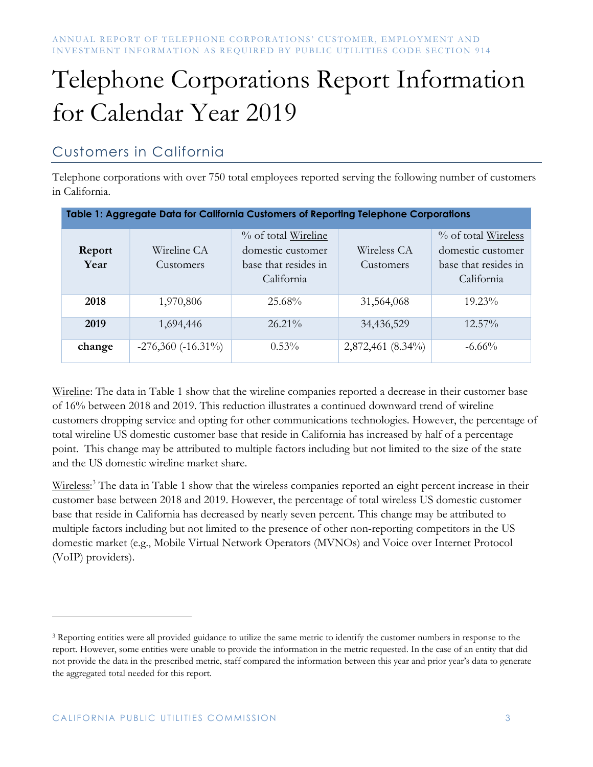# Telephone Corporations Report Information for Calendar Year 2019

### Customers in California

Telephone corporations with over 750 total employees reported serving the following number of customers in California.

| Table 1: Aggregate Data for California Customers of Reporting Telephone Corporations |                           |                                                                                |                          |                                                                                |  |  |
|--------------------------------------------------------------------------------------|---------------------------|--------------------------------------------------------------------------------|--------------------------|--------------------------------------------------------------------------------|--|--|
| Report<br>Year                                                                       | Wireline CA<br>Customers  | % of total Wireline<br>domestic customer<br>base that resides in<br>California | Wireless CA<br>Customers | % of total Wireless<br>domestic customer<br>base that resides in<br>California |  |  |
| 2018                                                                                 | 1,970,806                 | 25.68%                                                                         | 31,564,068               | $19.23\%$                                                                      |  |  |
| 2019                                                                                 | 1,694,446                 | $26.21\%$                                                                      | 34,436,529               | $12.57\%$                                                                      |  |  |
| change                                                                               | $-276,360$ ( $-16.31\%$ ) | $0.53\%$                                                                       | 2,872,461 (8.34%)        | $-6.66\%$                                                                      |  |  |

Wireline: The data in Table 1 show that the wireline companies reported a decrease in their customer base of 16% between 2018 and 2019. This reduction illustrates a continued downward trend of wireline customers dropping service and opting for other communications technologies. However, the percentage of total wireline US domestic customer base that reside in California has increased by half of a percentage point. This change may be attributed to multiple factors including but not limited to the size of the state and the US domestic wireline market share.

Wireless:<sup>3</sup> The data in Table 1 show that the wireless companies reported an eight percent increase in their customer base between 2018 and 2019. However, the percentage of total wireless US domestic customer base that reside in California has decreased by nearly seven percent. This change may be attributed to multiple factors including but not limited to the presence of other non-reporting competitors in the US domestic market (e.g., Mobile Virtual Network Operators (MVNOs) and Voice over Internet Protocol (VoIP) providers).

<sup>&</sup>lt;sup>3</sup> Reporting entities were all provided guidance to utilize the same metric to identify the customer numbers in response to the report. However, some entities were unable to provide the information in the metric requested. In the case of an entity that did not provide the data in the prescribed metric, staff compared the information between this year and prior year's data to generate the aggregated total needed for this report.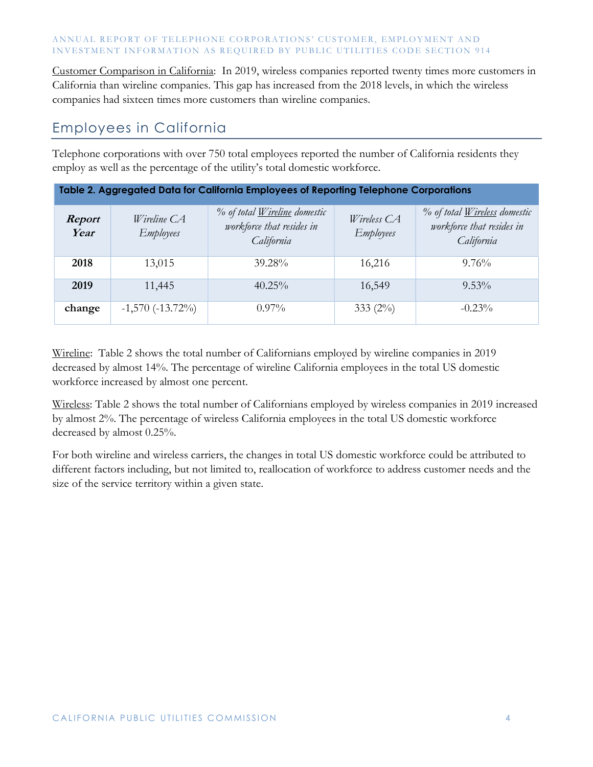#### ANNUAL REPORT OF TELEPHONE CORPORATIONS' CUSTOMER, EMPLOYMENT AND INVESTMENT INFORMATION AS REOUIRED BY PUBLIC UTILITIES CODE SECTION 914

Customer Comparison in California: In 2019, wireless companies reported twenty times more customers in California than wireline companies. This gap has increased from the 2018 levels, in which the wireless companies had sixteen times more customers than wireline companies.

#### Employees in California

Telephone corporations with over 750 total employees reported the number of California residents they employ as well as the percentage of the utility's total domestic workforce.

| Table 2. Aggregated Data for California Employees of Reporting Telephone Corporations |                                        |                                                                         |                                 |                                                                         |  |  |
|---------------------------------------------------------------------------------------|----------------------------------------|-------------------------------------------------------------------------|---------------------------------|-------------------------------------------------------------------------|--|--|
| Report<br>Year                                                                        | <i>Wireline</i> CA<br><b>Employees</b> | % of total Wireline domestic<br>workforce that resides in<br>California | Wireless CA<br><b>Employees</b> | % of total Wireless domestic<br>workforce that resides in<br>California |  |  |
| 2018                                                                                  | 13,015                                 | 39.28%                                                                  | 16,216                          | $9.76\%$                                                                |  |  |
| 2019                                                                                  | 11,445                                 | $40.25\%$                                                               | 16,549                          | $9.53\%$                                                                |  |  |
| change                                                                                | $-1,570(-13.72\%)$                     | $0.97\%$                                                                | 333 $(2\%)$                     | $-0.23%$                                                                |  |  |

Wireline: Table 2 shows the total number of Californians employed by wireline companies in 2019 decreased by almost 14%. The percentage of wireline California employees in the total US domestic workforce increased by almost one percent.

Wireless: Table 2 shows the total number of Californians employed by wireless companies in 2019 increased by almost 2%. The percentage of wireless California employees in the total US domestic workforce decreased by almost 0.25%.

For both wireline and wireless carriers, the changes in total US domestic workforce could be attributed to different factors including, but not limited to, reallocation of workforce to address customer needs and the size of the service territory within a given state.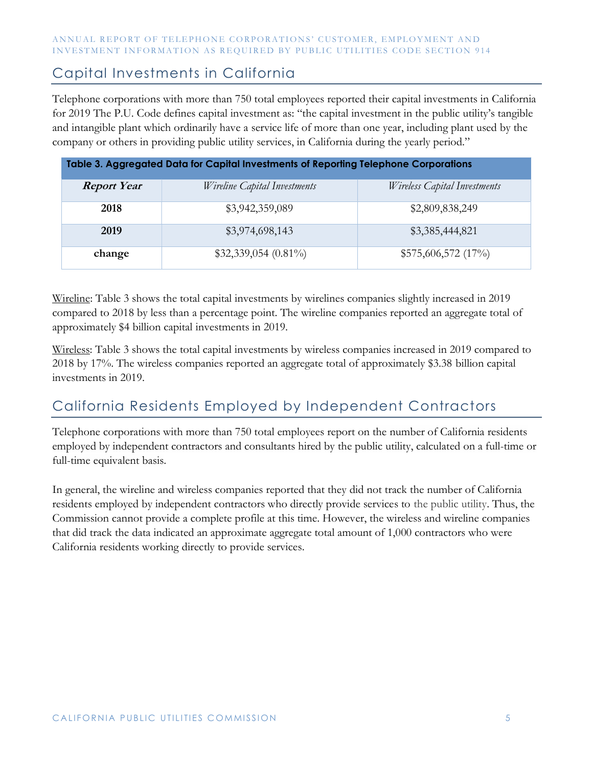#### ANNUAL REPORT OF TELEPHONE CORPORATIONS' CUSTOMER, EMPLOYMENT AND INVESTMENT INFORMATION AS REQUIRED BY PUBLIC UTILITIES CODE SECTION 914

#### Capital Investments in California

Telephone corporations with more than 750 total employees reported their capital investments in California for 2019 The P.U. Code defines capital investment as: "the capital investment in the public utility's tangible and intangible plant which ordinarily have a service life of more than one year, including plant used by the company or others in providing public utility services, in California during the yearly period."

| Table 3. Aggregated Data for Capital Investments of Reporting Telephone Corporations |                              |                                     |  |  |  |
|--------------------------------------------------------------------------------------|------------------------------|-------------------------------------|--|--|--|
| <b>Report Year</b>                                                                   | Wireline Capital Investments | <i>Wireless Capital Investments</i> |  |  |  |
| 2018                                                                                 | \$3,942,359,089              | \$2,809,838,249                     |  |  |  |
| 2019                                                                                 | \$3,974,698,143              | \$3,385,444,821                     |  |  |  |
| change                                                                               | $$32,339,054 (0.81\%)$       | \$575,606,572 (17%)                 |  |  |  |

Wireline: Table 3 shows the total capital investments by wirelines companies slightly increased in 2019 compared to 2018 by less than a percentage point. The wireline companies reported an aggregate total of approximately \$4 billion capital investments in 2019.

Wireless: Table 3 shows the total capital investments by wireless companies increased in 2019 compared to 2018 by 17%. The wireless companies reported an aggregate total of approximately \$3.38 billion capital investments in 2019.

### California Residents Employed by Independent Contractors

Telephone corporations with more than 750 total employees report on the number of California residents employed by independent contractors and consultants hired by the public utility, calculated on a full-time or full-time equivalent basis.

In general, the wireline and wireless companies reported that they did not track the number of California residents employed by independent contractors who directly provide services to the public utility. Thus, the Commission cannot provide a complete profile at this time. However, the wireless and wireline companies that did track the data indicated an approximate aggregate total amount of 1,000 contractors who were California residents working directly to provide services.